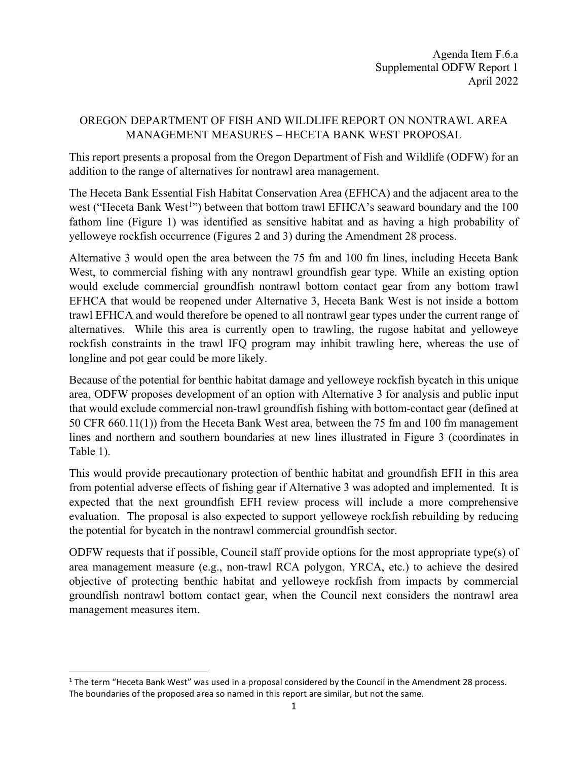## OREGON DEPARTMENT OF FISH AND WILDLIFE REPORT ON NONTRAWL AREA MANAGEMENT MEASURES – HECETA BANK WEST PROPOSAL

This report presents a proposal from the Oregon Department of Fish and Wildlife (ODFW) for an addition to the range of alternatives for nontrawl area management.

The Heceta Bank Essential Fish Habitat Conservation Area (EFHCA) and the adjacent area to the west ("Heceta Bank West<sup>[1](#page-0-0)</sup>") between that bottom trawl EFHCA's seaward boundary and the  $100$ fathom line (Figure 1) was identified as sensitive habitat and as having a high probability of yelloweye rockfish occurrence (Figures 2 and 3) during the Amendment 28 process.

Alternative 3 would open the area between the 75 fm and 100 fm lines, including Heceta Bank West, to commercial fishing with any nontrawl groundfish gear type. While an existing option would exclude commercial groundfish nontrawl bottom contact gear from any bottom trawl EFHCA that would be reopened under Alternative 3, Heceta Bank West is not inside a bottom trawl EFHCA and would therefore be opened to all nontrawl gear types under the current range of alternatives. While this area is currently open to trawling, the rugose habitat and yelloweye rockfish constraints in the trawl IFQ program may inhibit trawling here, whereas the use of longline and pot gear could be more likely.

Because of the potential for benthic habitat damage and yelloweye rockfish bycatch in this unique area, ODFW proposes development of an option with Alternative 3 for analysis and public input that would exclude commercial non-trawl groundfish fishing with bottom-contact gear (defined at 50 CFR 660.11(1)) from the Heceta Bank West area, between the 75 fm and 100 fm management lines and northern and southern boundaries at new lines illustrated in Figure 3 (coordinates in Table 1).

This would provide precautionary protection of benthic habitat and groundfish EFH in this area from potential adverse effects of fishing gear if Alternative 3 was adopted and implemented. It is expected that the next groundfish EFH review process will include a more comprehensive evaluation. The proposal is also expected to support yelloweye rockfish rebuilding by reducing the potential for bycatch in the nontrawl commercial groundfish sector.

ODFW requests that if possible, Council staff provide options for the most appropriate type(s) of area management measure (e.g., non-trawl RCA polygon, YRCA, etc.) to achieve the desired objective of protecting benthic habitat and yelloweye rockfish from impacts by commercial groundfish nontrawl bottom contact gear, when the Council next considers the nontrawl area management measures item.

<span id="page-0-0"></span> $1$  The term "Heceta Bank West" was used in a proposal considered by the Council in the Amendment 28 process. The boundaries of the proposed area so named in this report are similar, but not the same.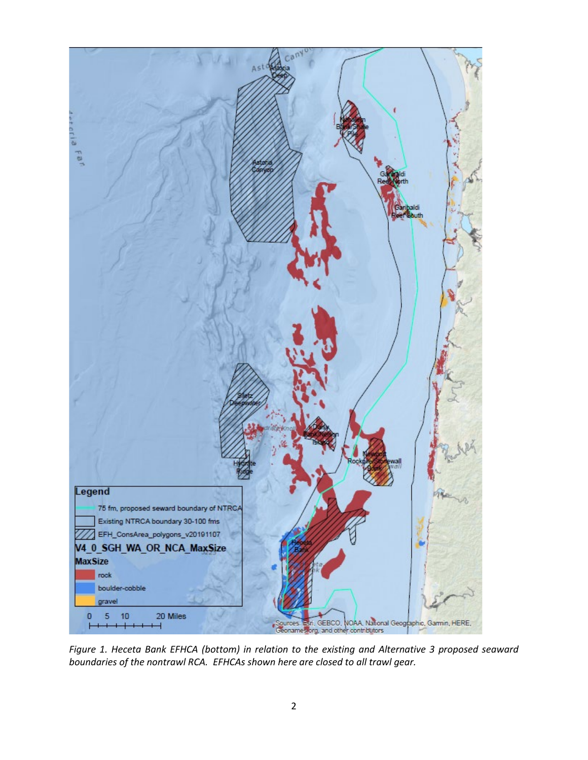

*Figure 1. Heceta Bank EFHCA (bottom) in relation to the existing and Alternative 3 proposed seaward boundaries of the nontrawl RCA. EFHCAs shown here are closed to all trawl gear.*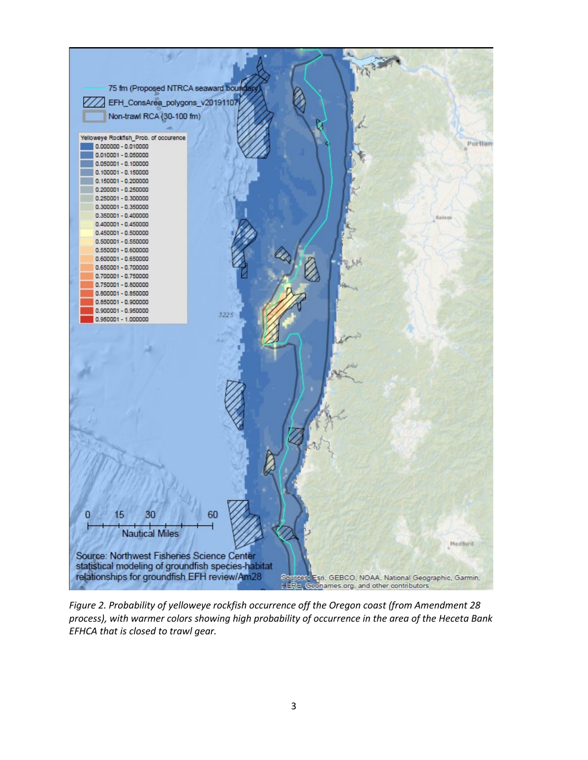

*Figure 2. Probability of yelloweye rockfish occurrence off the Oregon coast (from Amendment 28 process), with warmer colors showing high probability of occurrence in the area of the Heceta Bank EFHCA that is closed to trawl gear.*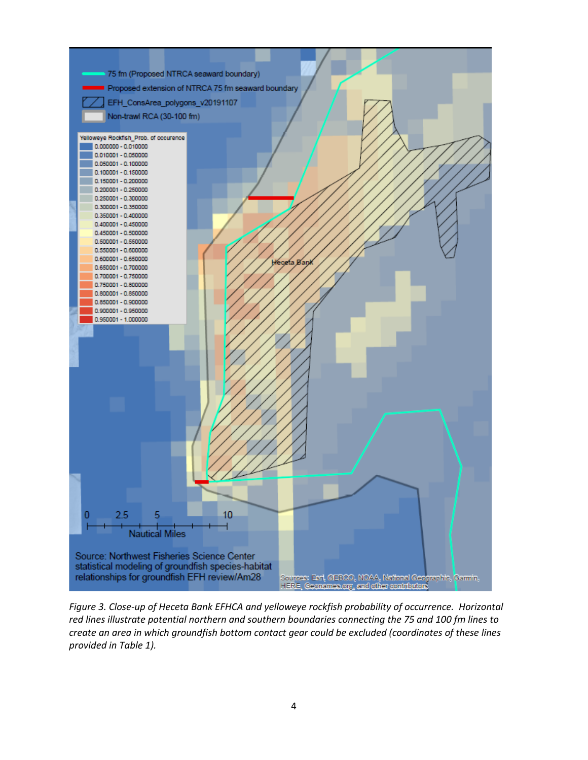

*Figure 3. Close-up of Heceta Bank EFHCA and yelloweye rockfish probability of occurrence. Horizontal red lines illustrate potential northern and southern boundaries connecting the 75 and 100 fm lines to create an area in which groundfish bottom contact gear could be excluded (coordinates of these lines provided in Table 1).*